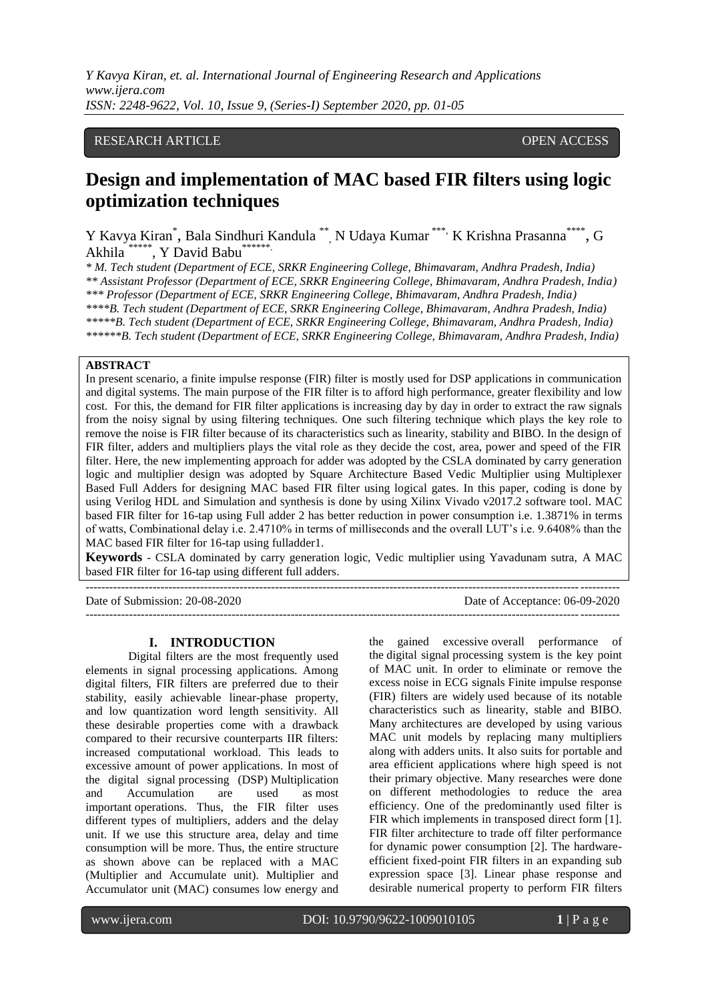*Y Kavya Kiran, et. al. International Journal of Engineering Research and Applications www.ijera.com ISSN: 2248-9622, Vol. 10, Issue 9, (Series-I) September 2020, pp. 01-05*

# RESEARCH ARTICLE **CONSERVERS** OPEN ACCESS

# **Design and implementation of MAC based FIR filters using logic optimization techniques**

Y Kavya Kiran\*, Bala Sindhuri Kandula \*\*, N Udaya Kumar \*\*\*, K Krishna Prasanna\*\*\*\*, G Akhila  $^*$ , Y David Babu $^*$ 

*\* M. Tech student (Department of ECE, SRKR Engineering College, Bhimavaram, Andhra Pradesh, India) \*\* Assistant Professor (Department of ECE, SRKR Engineering College, Bhimavaram, Andhra Pradesh, India) \*\*\* Professor (Department of ECE, SRKR Engineering College, Bhimavaram, Andhra Pradesh, India) \*\*\*\*B. Tech student (Department of ECE, SRKR Engineering College, Bhimavaram, Andhra Pradesh, India) \*\*\*\*\*B. Tech student (Department of ECE, SRKR Engineering College, Bhimavaram, Andhra Pradesh, India) \*\*\*\*\*\*B. Tech student (Department of ECE, SRKR Engineering College, Bhimavaram, Andhra Pradesh, India)*

## **ABSTRACT**

In present scenario, a finite impulse response (FIR) filter is mostly used for DSP applications in communication and digital systems. The main purpose of the FIR filter is to afford high performance, greater flexibility and low cost. For this, the demand for FIR filter applications is increasing day by day in order to extract the raw signals from the noisy signal by using filtering techniques. One such filtering technique which plays the key role to remove the noise is FIR filter because of its characteristics such as linearity, stability and BIBO. In the design of FIR filter, adders and multipliers plays the vital role as they decide the cost, area, power and speed of the FIR filter. Here, the new implementing approach for adder was adopted by the CSLA dominated by carry generation logic and multiplier design was adopted by Square Architecture Based Vedic Multiplier using Multiplexer Based Full Adders for designing MAC based FIR filter using logical gates. In this paper, coding is done by using Verilog HDL and Simulation and synthesis is done by using Xilinx Vivado v2017.2 software tool. MAC based FIR filter for 16-tap using Full adder 2 has better reduction in power consumption i.e. 1.3871% in terms of watts, Combinational delay i.e. 2.4710% in terms of milliseconds and the overall LUT's i.e. 9.6408% than the MAC based FIR filter for 16-tap using fulladder1.

**Keywords** - CSLA dominated by carry generation logic, Vedic multiplier using Yavadunam sutra, A MAC based FIR filter for 16-tap using different full adders.

Date of Submission: 20-08-2020 Date of Acceptance: 06-09-2020 ---------------------------------------------------------------------------------------------------------------------------------------

#### **I. INTRODUCTION**

---------------------------------------------------------------------------------------------------------------------------------------

Digital filters are the most frequently used elements in signal processing applications. Among digital filters, FIR filters are preferred due to their stability, easily achievable linear-phase property, and low quantization word length sensitivity. All these desirable properties come with a drawback compared to their recursive counterparts IIR filters: increased computational workload. This leads to excessive amount of power applications. In most of the digital signal processing (DSP) Multiplication and Accumulation are used as most important operations. Thus, the FIR filter uses different types of multipliers, adders and the delay unit. If we use this structure area, delay and time consumption will be more. Thus, the entire structure as shown above can be replaced with a MAC (Multiplier and Accumulate unit). Multiplier and Accumulator unit (MAC) consumes low energy and

the gained excessive overall performance of the digital signal processing system is the key point of MAC unit. In order to eliminate or remove the excess noise in ECG signals Finite impulse response (FIR) filters are widely used because of its notable characteristics such as linearity, stable and BIBO. Many architectures are developed by using various MAC unit models by replacing many multipliers along with adders units. It also suits for portable and area efficient applications where high speed is not their primary objective. Many researches were done on different methodologies to reduce the area efficiency. One of the predominantly used filter is FIR which implements in transposed direct form [1]. FIR filter architecture to trade off filter performance for dynamic power consumption [2]. The hardwareefficient fixed-point FIR filters in an expanding sub expression space [3]. Linear phase response and desirable numerical property to perform FIR filters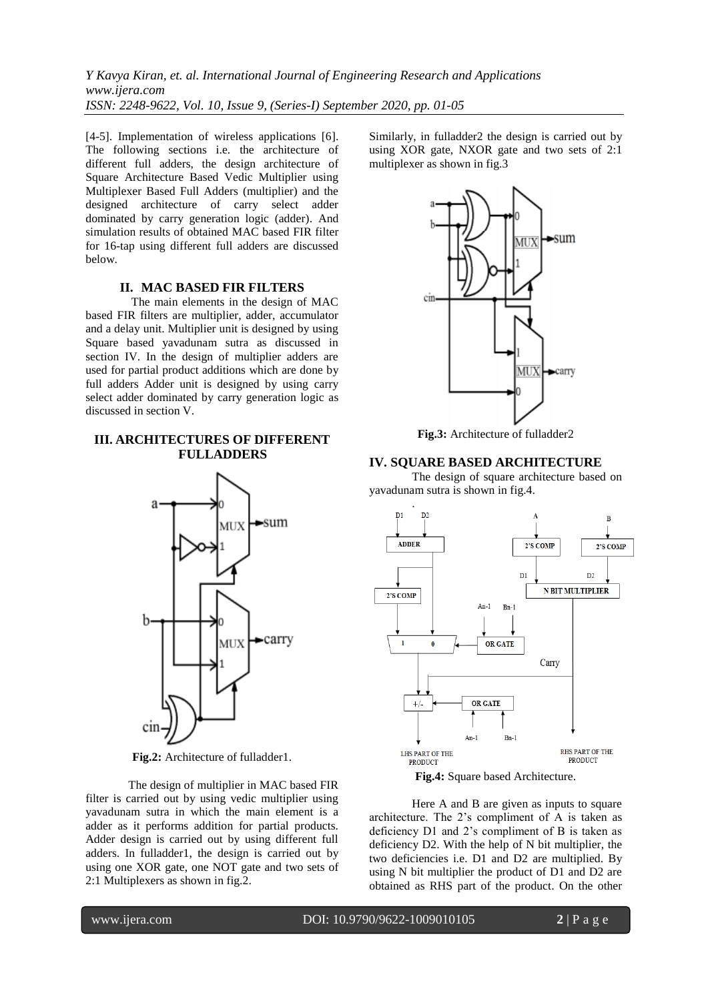*Y Kavya Kiran, et. al. International Journal of Engineering Research and Applications www.ijera.com ISSN: 2248-9622, Vol. 10, Issue 9, (Series-I) September 2020, pp. 01-05*

[4-5]. Implementation of wireless applications [6]. The following sections i.e. the architecture of different full adders, the design architecture of Square Architecture Based Vedic Multiplier using Multiplexer Based Full Adders (multiplier) and the designed architecture of carry select adder dominated by carry generation logic (adder). And simulation results of obtained MAC based FIR filter for 16-tap using different full adders are discussed below.

### **II. MAC BASED FIR FILTERS**

The main elements in the design of MAC based FIR filters are multiplier, adder, accumulator and a delay unit. Multiplier unit is designed by using Square based yavadunam sutra as discussed in section IV. In the design of multiplier adders are used for partial product additions which are done by full adders Adder unit is designed by using carry select adder dominated by carry generation logic as discussed in section V.

# **III. ARCHITECTURES OF DIFFERENT FULLADDERS**



**Fig.2:** Architecture of fulladder1.

The design of multiplier in MAC based FIR filter is carried out by using vedic multiplier using yavadunam sutra in which the main element is a adder as it performs addition for partial products. Adder design is carried out by using different full adders. In fulladder1, the design is carried out by using one XOR gate, one NOT gate and two sets of 2:1 Multiplexers as shown in fig.2.

Similarly, in fulladder2 the design is carried out by using XOR gate, NXOR gate and two sets of 2:1 multiplexer as shown in fig.3



**Fig.3:** Architecture of fulladder2

### **IV. SQUARE BASED ARCHITECTURE**

The design of square architecture based on yavadunam sutra is shown in fig.4.



Here A and B are given as inputs to square architecture. The 2's compliment of A is taken as deficiency D1 and 2's compliment of B is taken as deficiency D2. With the help of N bit multiplier, the two deficiencies i.e. D1 and D2 are multiplied. By using N bit multiplier the product of D1 and D2 are obtained as RHS part of the product. On the other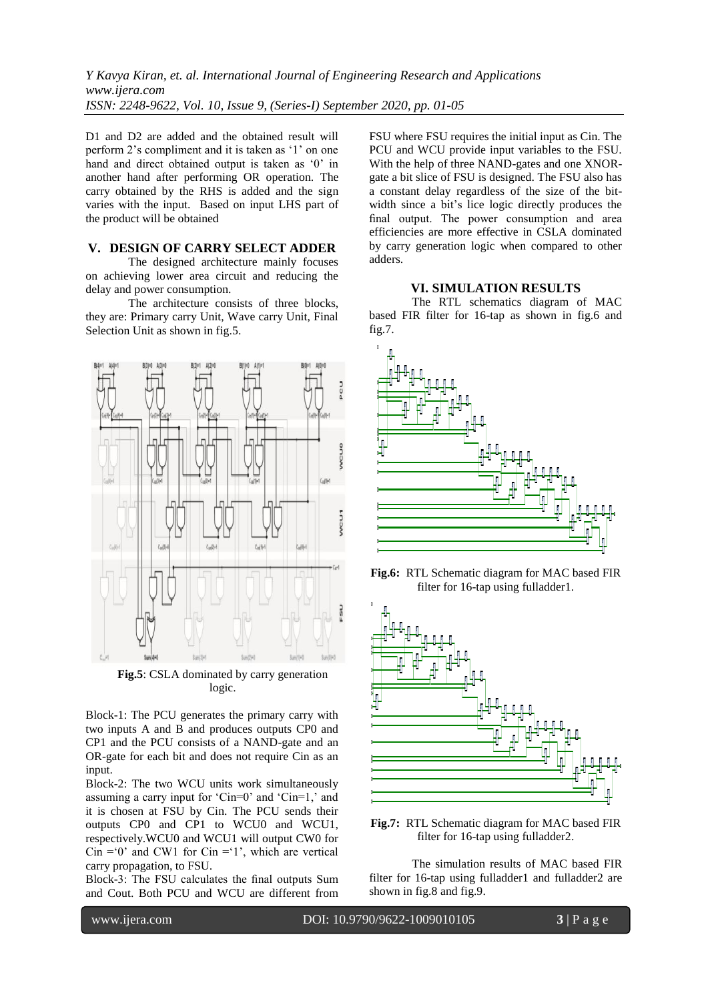D1 and D2 are added and the obtained result will perform 2's compliment and it is taken as '1' on one hand and direct obtained output is taken as '0' in another hand after performing OR operation. The carry obtained by the RHS is added and the sign varies with the input. Based on input LHS part of the product will be obtained

## **V. DESIGN OF CARRY SELECT ADDER**

The designed architecture mainly focuses on achieving lower area circuit and reducing the delay and power consumption.

The architecture consists of three blocks, they are: Primary carry Unit, Wave carry Unit, Final Selection Unit as shown in fig.5.



**Fig.5**: CSLA dominated by carry generation logic.

Block-1: The PCU generates the primary carry with two inputs A and B and produces outputs CP0 and CP1 and the PCU consists of a NAND-gate and an OR-gate for each bit and does not require Cin as an input.

Block-2: The two WCU units work simultaneously assuming a carry input for 'Cin=0' and 'Cin=1,' and it is chosen at FSU by Cin. The PCU sends their outputs CP0 and CP1 to WCU0 and WCU1, respectively.WCU0 and WCU1 will output CW0 for Cin = 0' and CW1 for Cin = 1', which are vertical carry propagation, to FSU.

Block-3: The FSU calculates the final outputs Sum and Cout. Both PCU and WCU are different from FSU where FSU requires the initial input as Cin. The PCU and WCU provide input variables to the FSU. With the help of three NAND-gates and one XNORgate a bit slice of FSU is designed. The FSU also has a constant delay regardless of the size of the bitwidth since a bit's lice logic directly produces the final output. The power consumption and area efficiencies are more effective in CSLA dominated by carry generation logic when compared to other adders.

### **VI. SIMULATION RESULTS**

The RTL schematics diagram of MAC based FIR filter for 16-tap as shown in fig.6 and fig.7.



**Fig.6:** RTL Schematic diagram for MAC based FIR filter for 16-tap using fulladder1.



**Fig.7:** RTL Schematic diagram for MAC based FIR filter for 16-tap using fulladder2.

The simulation results of MAC based FIR filter for 16-tap using fulladder1 and fulladder2 are shown in fig.8 and fig.9.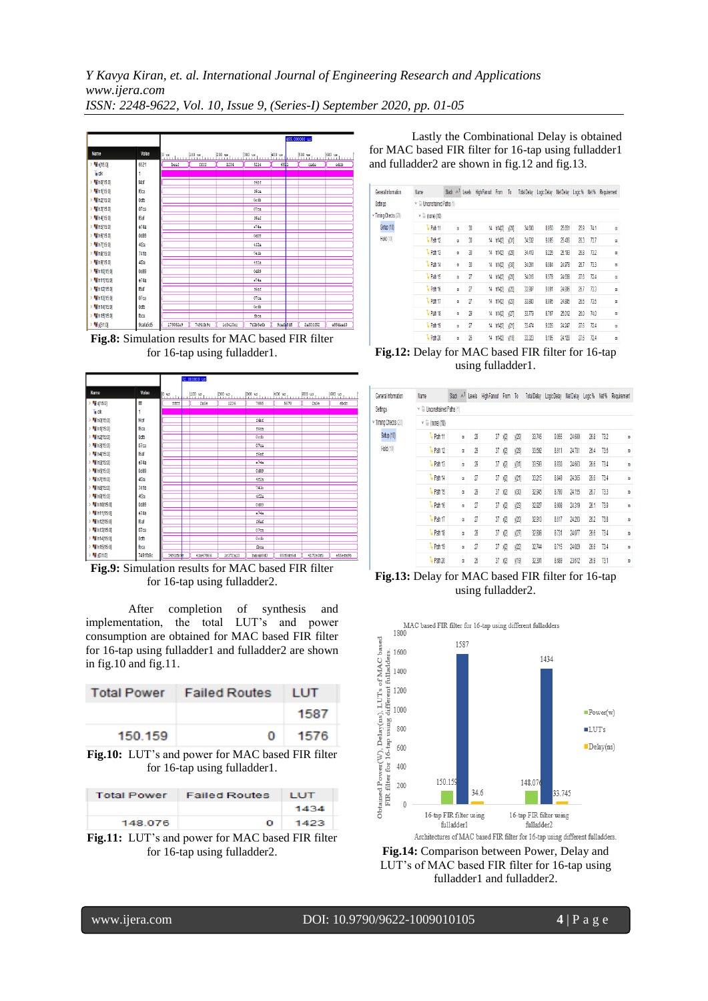

**Fig.8:** Simulation results for MAC based FIR filter for 16-tap using fulladder1.



**Fig.9:** Simulation results for MAC based FIR filter for 16-tap using fulladder2.

After completion of synthesis and implementation, the total LUT's and power consumption are obtained for MAC based FIR filter for 16-tap using fulladder1 and fulladder2 are shown in fig.10 and fig.11.

|         | Total Power   Failed Routes   LUT |      |
|---------|-----------------------------------|------|
|         |                                   | 1587 |
| 150.159 | O.                                | 1576 |

**Fig.10:** LUT's and power for MAC based FIR filter for 16-tap using fulladder1.

|         | <b>Total Power</b> Failed Routes | <b>LUT</b> |
|---------|----------------------------------|------------|
|         |                                  | 1434       |
| 148.076 | $\Omega$                         | 1423       |

**Fig.11:** LUT's and power for MAC based FIR filter for 16-tap using fulladder2.

Lastly the Combinational Delay is obtained for MAC based FIR filter for 16-tap using fulladder1 and fulladder2 are shown in fig.12 and fig.13.

| General Information | Name                                  |   |                         | Slack $\wedge$ <sup>1</sup> Levels High Fanout From To |                |      |        | Total Delay Logic Delay |        |      |      | NetDelay Logic% Net% Requirement |
|---------------------|---------------------------------------|---|-------------------------|--------------------------------------------------------|----------------|------|--------|-------------------------|--------|------|------|----------------------------------|
| Setinos             | $\vee$ $\Box$ Unconstrained Paths (1) |   |                         |                                                        |                |      |        |                         |        |      |      |                                  |
| Timing Checks (20)  | $\vee \equiv$ (none) (10)             |   |                         |                                                        |                |      |        |                         |        |      |      |                                  |
| Setup (10)          | <sup>1</sup> + Path 11                | w | 30                      |                                                        | 14 h142        | y28  | 34,600 | 8.950                   | 25.651 | 25.9 | 741  | ø                                |
| Hold (10)           | <sup>1</sup> + Path 12                | œ | 30                      | 14                                                     | h142           | 哵    | 34,532 | 9.095                   | 25.436 | 26.3 | 73.7 | œ                                |
|                     | <sup>1</sup> + Path 13                | œ | 30                      | 14                                                     | h142           | 焵    | 34.419 | 9.226                   | 25.193 | 26.8 | 732  | ω                                |
|                     | <sup>1</sup> + Path 14                | œ | 30                      |                                                        | 14 h14/2 y(30) |      | 34,061 | 9.084                   | 24,978 | 26.7 | 733  | ø                                |
|                     | <sup>1</sup> + Path 15                | w | $\overline{\mathbf{r}}$ | 14                                                     |                |      | 34,016 | 9,378                   | 24,638 | 27.6 | 724  | $\omega$                         |
|                     | <sup>1</sup> + Path 16                | w | $\overline{\mathbf{z}}$ | 14                                                     | 1142           | уî2Д | 33,987 | 9.091                   | 24,895 | 26.7 | 733  | $\omega$                         |
|                     | <sup>1</sup> + Path 17                | œ | $\overline{\mathbf{z}}$ | 14                                                     | h142           | 烟    | 33.880 | 8.995                   | 24.885 | 26.5 | 73.5 | œ                                |
|                     | <sup>1</sup> + Path 18                | œ | $\overline{29}$         |                                                        | 14 h14(2)      | уŽЛ  | 33.779 | 8.767                   | 25,012 | 26.0 | 74.0 | œ                                |
|                     | <sup>1</sup> + Path 19                | œ | $\eta$                  |                                                        | 14 h14/2       | 21   | 33.474 | 9226                    | 24,247 | 27.6 | 724  | $\omega$                         |
|                     | <sup>1</sup> + Path 20                | w | 26                      |                                                        | 14 h14/2 y19   |      | 33,323 | 9.195                   | 24.128 | 27.6 | 724  | $\omega$                         |

**Fig.12:** Delay for MAC based FIR filter for 16-tap using fulladder1.

| General Information | Name                   | Slack A <sup>1</sup>                  | Levels | High Fancut From To |                |       |        | Total Delay Logic Delay Net Delay Logic % |        |      | Nd%  | Requirement |
|---------------------|------------------------|---------------------------------------|--------|---------------------|----------------|-------|--------|-------------------------------------------|--------|------|------|-------------|
| Settings            |                        | $\vee$ $\Box$ Unconstrained Paths (1) |        |                     |                |       |        |                                           |        |      |      |             |
| Timing Checks (20)  | $\vee$ = (none) (10)   |                                       |        |                     |                |       |        |                                           |        |      |      |             |
| Setup (10)          | <sup>1</sup> Path 11   | ø                                     | 29     |                     | $37 - 12$      | 129   | 33.745 | 9.055                                     | 24,690 | 26.8 | 732  | $\infty$    |
| Hold (10)           | <sup>1</sup> + Path 12 | œ                                     | 29     | 37                  | $\sqrt{2}$     | [28]  | 33.692 | 8.911                                     | 24.781 | 264  | 73.6 | œ           |
|                     | <sup>1</sup> + Path 13 | œ                                     | 29     | 37                  | $\sqrt{2}$     | 1611  | 33.593 | 8.930                                     | 24,663 | 26.6 | 73.4 | œ           |
|                     | <sup>1</sup> + Path 14 | œ                                     | 27     | 37                  | $\sqrt{2}$     | [21]  | 33.215 | 8.849                                     | 24,365 | 266  | 73.4 | ø           |
|                     | <sup>1</sup> Path 15   | œ                                     | 29     | 37                  | 12             | [30]  | 32.945 | 8.790                                     | 24.155 | 26.7 | 733  | ø           |
|                     | <sup>1</sup> + Path 16 | œ                                     | 27     | 37                  | 12             | 123   | 32.927 | 8.608                                     | 24,319 | 26.1 | 73.9 | $\omega$    |
|                     | <sup>1</sup> + Path 17 | œ                                     | 27     | 37                  | X <sub>2</sub> | y[20] | 32.910 | 8.617                                     | 24293  | 262  | 73.8 | œ           |
|                     | <sup>1</sup> Path 18   | œ                                     | 28     | 37                  | X <sub>2</sub> | 27    | 32.808 | 8.731                                     | 24,077 | 266  | 73.4 | ø           |
|                     | <sup>1</sup> + Path 19 | ø                                     | 27     | 37                  | <b>V</b>       | [22]  | 32.744 | 8.715                                     | 24,029 | 26.6 | 73.4 | ø           |
|                     | <sup>1</sup> + Path 20 | œ                                     | 26     | 37                  | $\sqrt{2}$     | y[19] | 32301  | 8.689                                     | 23,612 | 26.9 | 731  | $\omega$    |

**Fig.13:** Delay for MAC based FIR filter for 16-tap using fulladder2.